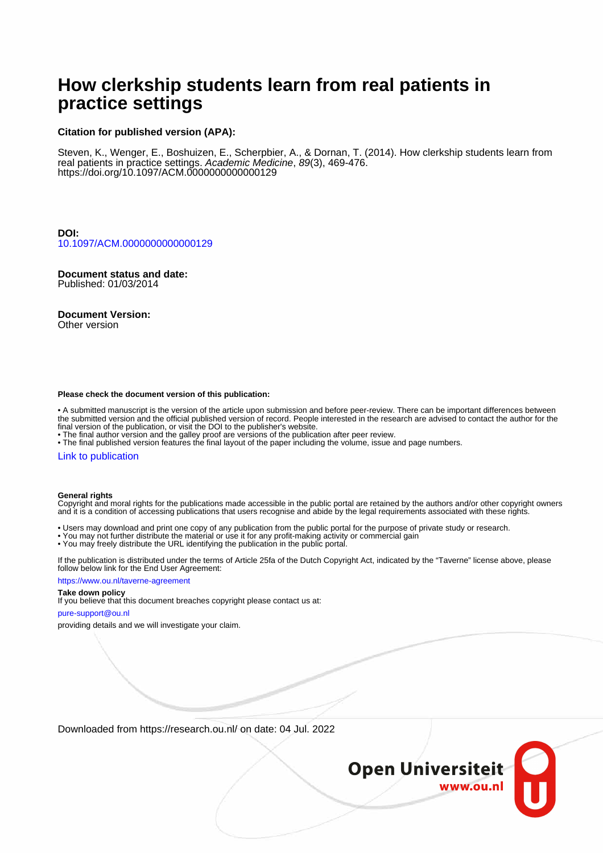# **How clerkship students learn from real patients in practice settings**

### **Citation for published version (APA):**

Steven, K., Wenger, E., Boshuizen, E., Scherpbier, A., & Dornan, T. (2014). How clerkship students learn from real patients in practice settings. Academic Medicine, 89(3), 469-476. <https://doi.org/10.1097/ACM.0000000000000129>

**DOI:** [10.1097/ACM.0000000000000129](https://doi.org/10.1097/ACM.0000000000000129)

**Document status and date:** Published: 01/03/2014

**Document Version:** Other version

# **Please check the document version of this publication:**

• A submitted manuscript is the version of the article upon submission and before peer-review. There can be important differences between the submitted version and the official published version of record. People interested in the research are advised to contact the author for the final version of the publication, or visit the DOI to the publisher's website.

• The final author version and the galley proof are versions of the publication after peer review.

• The final published version features the final layout of the paper including the volume, issue and page numbers.

#### [Link to publication](https://research.ou.nl/en/publications/9bd1d320-3a77-450e-ac37-28cd32d169e1)

#### **General rights**

Copyright and moral rights for the publications made accessible in the public portal are retained by the authors and/or other copyright owners and it is a condition of accessing publications that users recognise and abide by the legal requirements associated with these rights.

- Users may download and print one copy of any publication from the public portal for the purpose of private study or research.
- You may not further distribute the material or use it for any profit-making activity or commercial gain
- You may freely distribute the URL identifying the publication in the public portal.

If the publication is distributed under the terms of Article 25fa of the Dutch Copyright Act, indicated by the "Taverne" license above, please follow below link for the End User Agreement:

#### https://www.ou.nl/taverne-agreement

### **Take down policy**

If you believe that this document breaches copyright please contact us at:

#### pure-support@ou.nl

providing details and we will investigate your claim.

Downloaded from https://research.ou.nl/ on date: 04 Jul. 2022